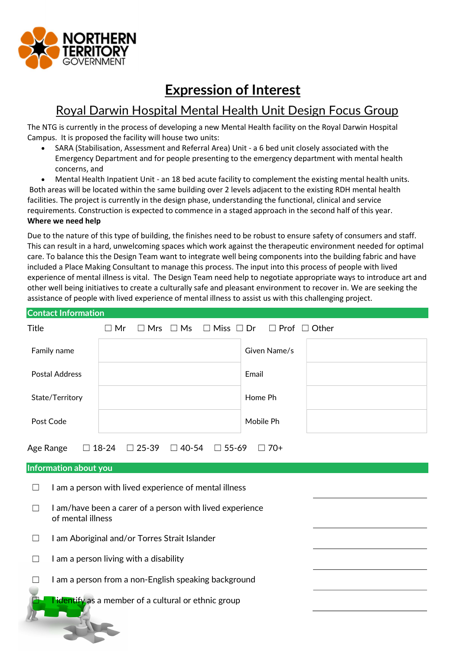

## Expression of Interest

## Royal Darwin Hospital Mental Health Unit Design Focus Group

The NTG is currently in the process of developing a new Mental Health facility on the Royal Darwin Hospital Campus. It is proposed the facility will house two units:

- SARA (Stabilisation, Assessment and Referral Area) Unit a 6 bed unit closely associated with the Emergency Department and for people presenting to the emergency department with mental health concerns, and
- Mental Health Inpatient Unit an 18 bed acute facility to complement the existing mental health units.

 Both areas will be located within the same building over 2 levels adjacent to the existing RDH mental health facilities. The project is currently in the design phase, understanding the functional, clinical and service requirements. Construction is expected to commence in a staged approach in the second half of this year. Where we need help

Due to the nature of this type of building, the finishes need to be robust to ensure safety of consumers and staff. This can result in a hard, unwelcoming spaces which work against the therapeutic environment needed for optimal care. To balance this the Design Team want to integrate well being components into the building fabric and have included a Place Making Consultant to manage this process. The input into this process of people with lived experience of mental illness is vital. The Design Team need help to negotiate appropriate ways to introduce art and other well being initiatives to create a culturally safe and pleasant environment to recover in. We are seeking the assistance of people with lived experience of mental illness to assist us with this challenging project.

| <b>Contact Information</b>   |              |                                                       |                                                |  |  |
|------------------------------|--------------|-------------------------------------------------------|------------------------------------------------|--|--|
| <b>Title</b>                 | $\Box$ Mr    | $\Box$ Mrs $\Box$ Ms                                  | $\Box$ Miss $\Box$ Dr $\Box$ Prof $\Box$ Other |  |  |
| Family name                  |              |                                                       | Given Name/s                                   |  |  |
| <b>Postal Address</b>        |              |                                                       | Email                                          |  |  |
| State/Territory              |              |                                                       | Home Ph                                        |  |  |
| Post Code                    |              |                                                       | Mobile Ph                                      |  |  |
| Age Range<br>$\square$ 18-24 | $\Box$ 25-39 | $\Box$ 40-54 $\Box$ 55-69                             | $\Box$ 70+                                     |  |  |
| Information about you        |              |                                                       |                                                |  |  |
|                              |              | I am a person with lived experience of mental illness |                                                |  |  |

- $\Box$  I am/have been a carer of a person with lived experience of mental illness
- ☐ I am Aboriginal and/or Torres Strait Islander
- $\Box$  I am a person living with a disability
- ☐ I am a person from a non-English speaking background
	- entify as a member of a cultural or ethnic group